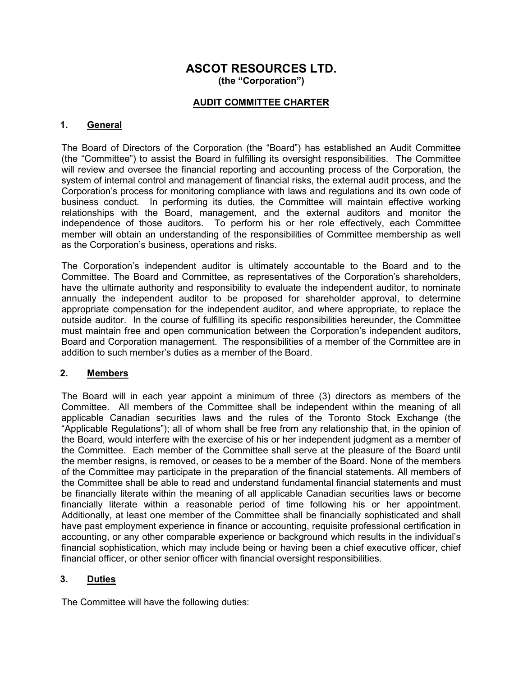# ASCOT RESOURCES LTD. (the "Corporation")

# AUDIT COMMITTEE CHARTER

## 1. General

The Board of Directors of the Corporation (the "Board") has established an Audit Committee (the "Committee") to assist the Board in fulfilling its oversight responsibilities. The Committee will review and oversee the financial reporting and accounting process of the Corporation, the system of internal control and management of financial risks, the external audit process, and the Corporation's process for monitoring compliance with laws and regulations and its own code of business conduct. In performing its duties, the Committee will maintain effective working relationships with the Board, management, and the external auditors and monitor the independence of those auditors. To perform his or her role effectively, each Committee member will obtain an understanding of the responsibilities of Committee membership as well as the Corporation's business, operations and risks.

The Corporation's independent auditor is ultimately accountable to the Board and to the Committee. The Board and Committee, as representatives of the Corporation's shareholders, have the ultimate authority and responsibility to evaluate the independent auditor, to nominate annually the independent auditor to be proposed for shareholder approval, to determine appropriate compensation for the independent auditor, and where appropriate, to replace the outside auditor. In the course of fulfilling its specific responsibilities hereunder, the Committee must maintain free and open communication between the Corporation's independent auditors, Board and Corporation management. The responsibilities of a member of the Committee are in addition to such member's duties as a member of the Board.

#### 2. Members

The Board will in each year appoint a minimum of three (3) directors as members of the Committee. All members of the Committee shall be independent within the meaning of all applicable Canadian securities laws and the rules of the Toronto Stock Exchange (the "Applicable Regulations"); all of whom shall be free from any relationship that, in the opinion of the Board, would interfere with the exercise of his or her independent judgment as a member of the Committee. Each member of the Committee shall serve at the pleasure of the Board until the member resigns, is removed, or ceases to be a member of the Board. None of the members of the Committee may participate in the preparation of the financial statements. All members of the Committee shall be able to read and understand fundamental financial statements and must be financially literate within the meaning of all applicable Canadian securities laws or become financially literate within a reasonable period of time following his or her appointment. Additionally, at least one member of the Committee shall be financially sophisticated and shall have past employment experience in finance or accounting, requisite professional certification in accounting, or any other comparable experience or background which results in the individual's financial sophistication, which may include being or having been a chief executive officer, chief financial officer, or other senior officer with financial oversight responsibilities.

# 3. Duties

The Committee will have the following duties: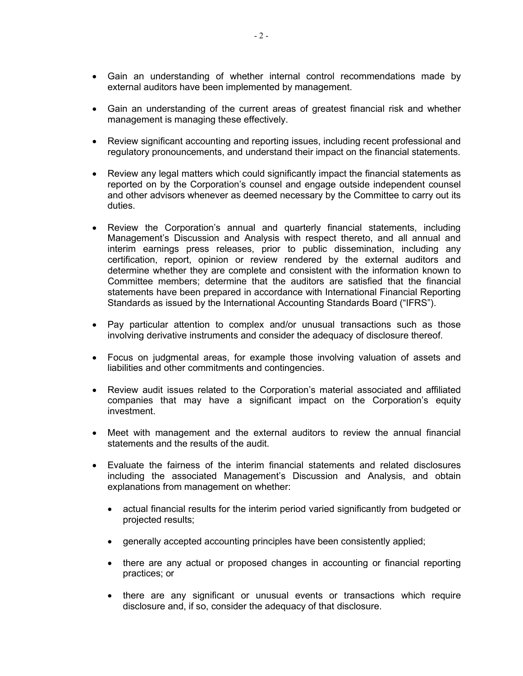- Gain an understanding of whether internal control recommendations made by external auditors have been implemented by management.
- Gain an understanding of the current areas of greatest financial risk and whether management is managing these effectively.
- Review significant accounting and reporting issues, including recent professional and regulatory pronouncements, and understand their impact on the financial statements.
- Review any legal matters which could significantly impact the financial statements as reported on by the Corporation's counsel and engage outside independent counsel and other advisors whenever as deemed necessary by the Committee to carry out its duties.
- Review the Corporation's annual and quarterly financial statements, including Management's Discussion and Analysis with respect thereto, and all annual and interim earnings press releases, prior to public dissemination, including any certification, report, opinion or review rendered by the external auditors and determine whether they are complete and consistent with the information known to Committee members; determine that the auditors are satisfied that the financial statements have been prepared in accordance with International Financial Reporting Standards as issued by the International Accounting Standards Board ("IFRS").
- Pay particular attention to complex and/or unusual transactions such as those involving derivative instruments and consider the adequacy of disclosure thereof.
- Focus on judgmental areas, for example those involving valuation of assets and liabilities and other commitments and contingencies.
- Review audit issues related to the Corporation's material associated and affiliated companies that may have a significant impact on the Corporation's equity investment.
- Meet with management and the external auditors to review the annual financial statements and the results of the audit.
- Evaluate the fairness of the interim financial statements and related disclosures including the associated Management's Discussion and Analysis, and obtain explanations from management on whether:
	- actual financial results for the interim period varied significantly from budgeted or projected results;
	- generally accepted accounting principles have been consistently applied;
	- there are any actual or proposed changes in accounting or financial reporting practices; or
	- there are any significant or unusual events or transactions which require disclosure and, if so, consider the adequacy of that disclosure.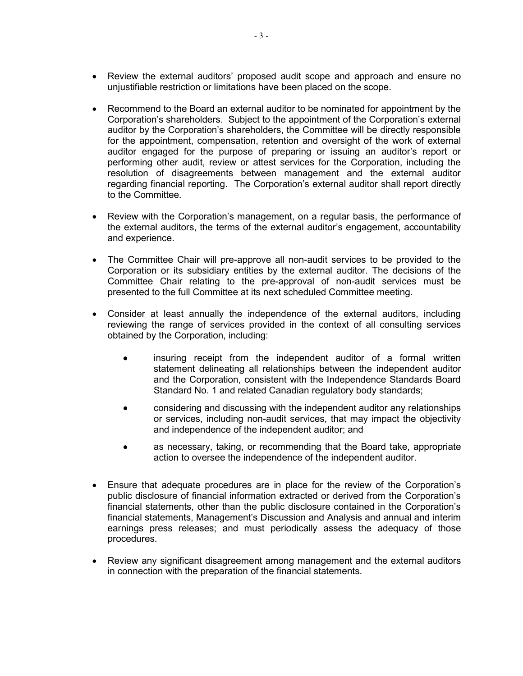- Review the external auditors' proposed audit scope and approach and ensure no unjustifiable restriction or limitations have been placed on the scope.
- Recommend to the Board an external auditor to be nominated for appointment by the Corporation's shareholders. Subject to the appointment of the Corporation's external auditor by the Corporation's shareholders, the Committee will be directly responsible for the appointment, compensation, retention and oversight of the work of external auditor engaged for the purpose of preparing or issuing an auditor's report or performing other audit, review or attest services for the Corporation, including the resolution of disagreements between management and the external auditor regarding financial reporting. The Corporation's external auditor shall report directly to the Committee.
- Review with the Corporation's management, on a regular basis, the performance of the external auditors, the terms of the external auditor's engagement, accountability and experience.
- The Committee Chair will pre-approve all non-audit services to be provided to the Corporation or its subsidiary entities by the external auditor. The decisions of the Committee Chair relating to the pre-approval of non-audit services must be presented to the full Committee at its next scheduled Committee meeting.
- Consider at least annually the independence of the external auditors, including reviewing the range of services provided in the context of all consulting services obtained by the Corporation, including:
	- insuring receipt from the independent auditor of a formal written statement delineating all relationships between the independent auditor and the Corporation, consistent with the Independence Standards Board Standard No. 1 and related Canadian regulatory body standards;
	- considering and discussing with the independent auditor any relationships or services, including non-audit services, that may impact the objectivity and independence of the independent auditor; and
	- as necessary, taking, or recommending that the Board take, appropriate action to oversee the independence of the independent auditor.
- Ensure that adequate procedures are in place for the review of the Corporation's public disclosure of financial information extracted or derived from the Corporation's financial statements, other than the public disclosure contained in the Corporation's financial statements, Management's Discussion and Analysis and annual and interim earnings press releases; and must periodically assess the adequacy of those procedures.
- Review any significant disagreement among management and the external auditors in connection with the preparation of the financial statements.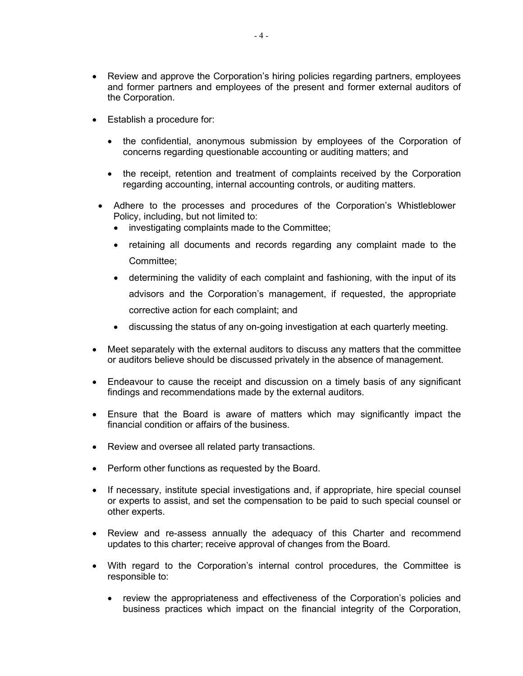- Review and approve the Corporation's hiring policies regarding partners, employees and former partners and employees of the present and former external auditors of the Corporation.
- Establish a procedure for:
	- the confidential, anonymous submission by employees of the Corporation of concerns regarding questionable accounting or auditing matters; and
	- the receipt, retention and treatment of complaints received by the Corporation regarding accounting, internal accounting controls, or auditing matters.
- Adhere to the processes and procedures of the Corporation's Whistleblower Policy, including, but not limited to:
	- investigating complaints made to the Committee;
	- retaining all documents and records regarding any complaint made to the Committee;
	- determining the validity of each complaint and fashioning, with the input of its advisors and the Corporation's management, if requested, the appropriate corrective action for each complaint; and
	- discussing the status of any on-going investigation at each quarterly meeting.
- Meet separately with the external auditors to discuss any matters that the committee or auditors believe should be discussed privately in the absence of management.
- Endeavour to cause the receipt and discussion on a timely basis of any significant findings and recommendations made by the external auditors.
- Ensure that the Board is aware of matters which may significantly impact the financial condition or affairs of the business.
- Review and oversee all related party transactions.
- Perform other functions as requested by the Board.
- If necessary, institute special investigations and, if appropriate, hire special counsel or experts to assist, and set the compensation to be paid to such special counsel or other experts.
- Review and re-assess annually the adequacy of this Charter and recommend updates to this charter; receive approval of changes from the Board.
- With regard to the Corporation's internal control procedures, the Committee is responsible to:
	- review the appropriateness and effectiveness of the Corporation's policies and business practices which impact on the financial integrity of the Corporation,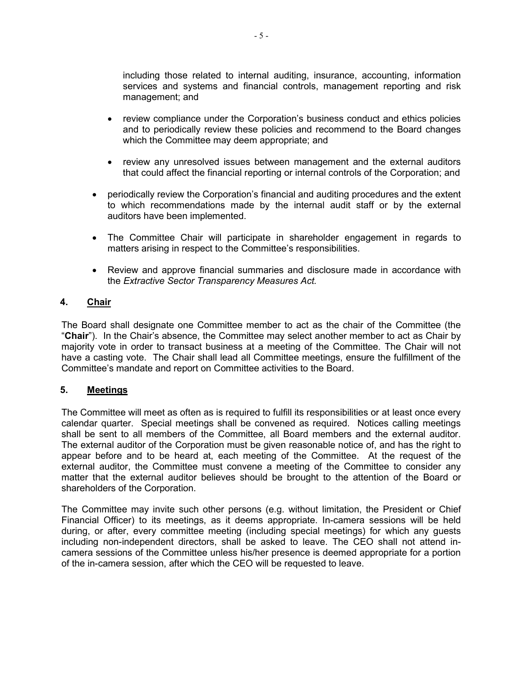including those related to internal auditing, insurance, accounting, information services and systems and financial controls, management reporting and risk management; and

- review compliance under the Corporation's business conduct and ethics policies and to periodically review these policies and recommend to the Board changes which the Committee may deem appropriate; and
- review any unresolved issues between management and the external auditors that could affect the financial reporting or internal controls of the Corporation; and
- periodically review the Corporation's financial and auditing procedures and the extent to which recommendations made by the internal audit staff or by the external auditors have been implemented.
- The Committee Chair will participate in shareholder engagement in regards to matters arising in respect to the Committee's responsibilities.
- Review and approve financial summaries and disclosure made in accordance with the Extractive Sector Transparency Measures Act.

# 4. Chair

The Board shall designate one Committee member to act as the chair of the Committee (the "Chair"). In the Chair's absence, the Committee may select another member to act as Chair by majority vote in order to transact business at a meeting of the Committee. The Chair will not have a casting vote. The Chair shall lead all Committee meetings, ensure the fulfillment of the Committee's mandate and report on Committee activities to the Board.

# 5. Meetings

The Committee will meet as often as is required to fulfill its responsibilities or at least once every calendar quarter. Special meetings shall be convened as required. Notices calling meetings shall be sent to all members of the Committee, all Board members and the external auditor. The external auditor of the Corporation must be given reasonable notice of, and has the right to appear before and to be heard at, each meeting of the Committee. At the request of the external auditor, the Committee must convene a meeting of the Committee to consider any matter that the external auditor believes should be brought to the attention of the Board or shareholders of the Corporation.

The Committee may invite such other persons (e.g. without limitation, the President or Chief Financial Officer) to its meetings, as it deems appropriate. In-camera sessions will be held during, or after, every committee meeting (including special meetings) for which any guests including non-independent directors, shall be asked to leave. The CEO shall not attend incamera sessions of the Committee unless his/her presence is deemed appropriate for a portion of the in-camera session, after which the CEO will be requested to leave.